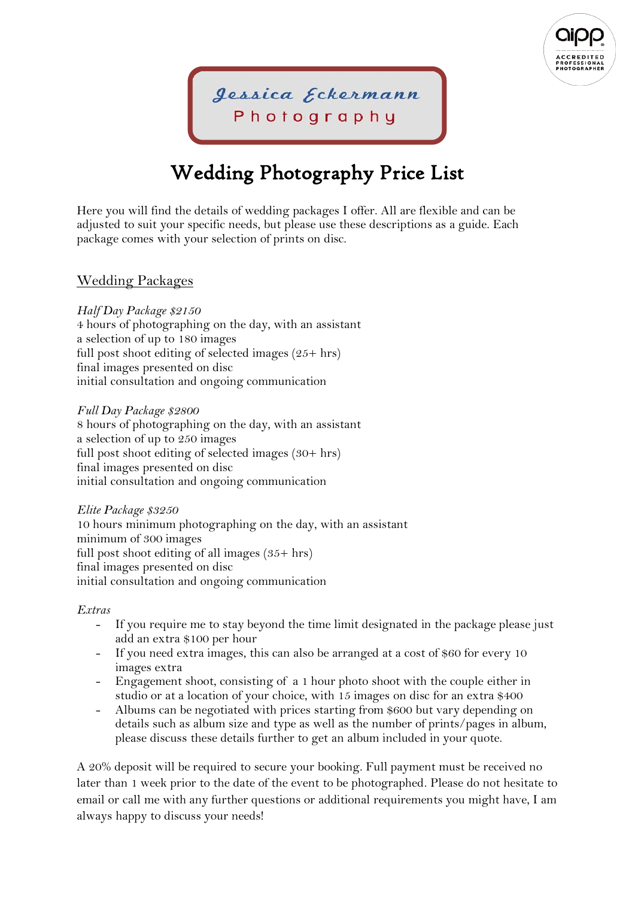

Jessica Eckermann Photography

# Wedding Photography Price List

Here you will find the details of wedding packages I offer. All are flexible and can be adjusted to suit your specific needs, but please use these descriptions as a guide. Each package comes with your selection of prints on disc.

## Wedding Packages

*Half Day Package \$2150* 

4 hours of photographing on the day, with an assistant a selection of up to 180 images full post shoot editing of selected images  $(25+ hrs)$ final images presented on disc initial consultation and ongoing communication

*Full Day Package \$2800*  8 hours of photographing on the day, with an assistant a selection of up to 250 images full post shoot editing of selected images (30+ hrs) final images presented on disc initial consultation and ongoing communication

*Elite Package \$3250*  10 hours minimum photographing on the day, with an assistant minimum of 300 images full post shoot editing of all images  $(35 + hrs)$ final images presented on disc initial consultation and ongoing communication

#### *Extras*

- If you require me to stay beyond the time limit designated in the package please just add an extra \$100 per hour
- If you need extra images, this can also be arranged at a cost of \$60 for every 10 images extra
- Engagement shoot, consisting of a 1 hour photo shoot with the couple either in studio or at a location of your choice, with 15 images on disc for an extra \$400
- Albums can be negotiated with prices starting from \$600 but vary depending on details such as album size and type as well as the number of prints/pages in album, please discuss these details further to get an album included in your quote.

A 20% deposit will be required to secure your booking. Full payment must be received no later than 1 week prior to the date of the event to be photographed. Please do not hesitate to email or call me with any further questions or additional requirements you might have, I am always happy to discuss your needs!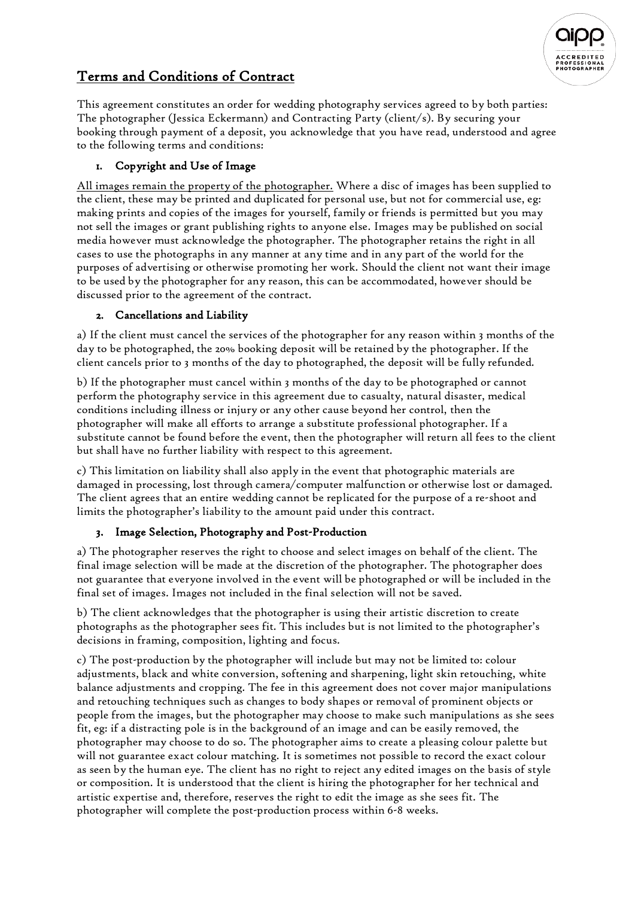

# Terms and Conditions of Contract

This agreement constitutes an order for wedding photography services agreed to by both parties: The photographer (Jessica Eckermann) and Contracting Party (client/s). By securing your booking through payment of a deposit, you acknowledge that you have read, understood and agree to the following terms and conditions:

## 1. Copyright and Use of Image

All images remain the property of the photographer. Where a disc of images has been supplied to the client, these may be printed and duplicated for personal use, but not for commercial use, eg: making prints and copies of the images for yourself, family or friends is permitted but you may not sell the images or grant publishing rights to anyone else. Images may be published on social media however must acknowledge the photographer. The photographer retains the right in all cases to use the photographs in any manner at any time and in any part of the world for the purposes of advertising or otherwise promoting her work. Should the client not want their image to be used by the photographer for any reason, this can be accommodated, however should be discussed prior to the agreement of the contract.

## 2. Cancellations and Liability

a) If the client must cancel the services of the photographer for any reason within 3 months of the day to be photographed, the 20% booking deposit will be retained by the photographer. If the client cancels prior to 3 months of the day to photographed, the deposit will be fully refunded.

b) If the photographer must cancel within 3 months of the day to be photographed or cannot perform the photography service in this agreement due to casualty, natural disaster, medical conditions including illness or injury or any other cause beyond her control, then the photographer will make all efforts to arrange a substitute professional photographer. If a substitute cannot be found before the event, then the photographer will return all fees to the client but shall have no further liability with respect to this agreement.

c) This limitation on liability shall also apply in the event that photographic materials are damaged in processing, lost through camera/computer malfunction or otherwise lost or damaged. The client agrees that an entire wedding cannot be replicated for the purpose of a re-shoot and limits the photographer's liability to the amount paid under this contract.

## 3. Image Selection, Photography and Post-Production

a) The photographer reserves the right to choose and select images on behalf of the client. The final image selection will be made at the discretion of the photographer. The photographer does not guarantee that everyone involved in the event will be photographed or will be included in the final set of images. Images not included in the final selection will not be saved.

b) The client acknowledges that the photographer is using their artistic discretion to create photographs as the photographer sees fit. This includes but is not limited to the photographer's decisions in framing, composition, lighting and focus.

c) The post-production by the photographer will include but may not be limited to: colour adjustments, black and white conversion, softening and sharpening, light skin retouching, white balance adjustments and cropping. The fee in this agreement does not cover major manipulations and retouching techniques such as changes to body shapes or removal of prominent objects or people from the images, but the photographer may choose to make such manipulations as she sees fit, eg: if a distracting pole is in the background of an image and can be easily removed, the photographer may choose to do so. The photographer aims to create a pleasing colour palette but will not guarantee exact colour matching. It is sometimes not possible to record the exact colour as seen by the human eye. The client has no right to reject any edited images on the basis of style or composition. It is understood that the client is hiring the photographer for her technical and artistic expertise and, therefore, reserves the right to edit the image as she sees fit. The photographer will complete the post-production process within 6-8 weeks.